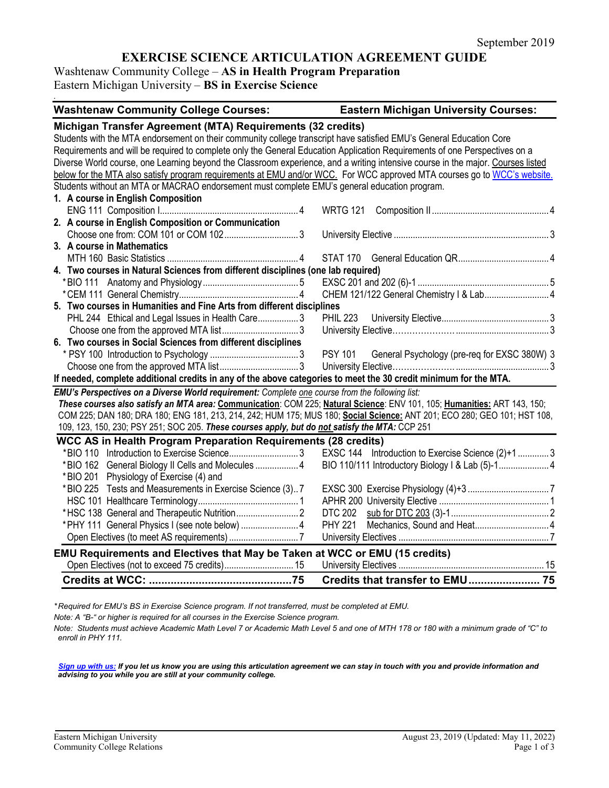# **EXERCISE SCIENCE ARTICULATION AGREEMENT GUIDE**

Washtenaw Community College – **AS in Health Program Preparation** Eastern Michigan University – **BS in Exercise Science**

*.*

| <b>Washtenaw Community College Courses:</b>                                                                                                                                                                                                                                                                                                                                                                                                                                                                                                                                                                                                                                     | <b>Eastern Michigan University Courses:</b>                    |  |  |  |  |
|---------------------------------------------------------------------------------------------------------------------------------------------------------------------------------------------------------------------------------------------------------------------------------------------------------------------------------------------------------------------------------------------------------------------------------------------------------------------------------------------------------------------------------------------------------------------------------------------------------------------------------------------------------------------------------|----------------------------------------------------------------|--|--|--|--|
| Michigan Transfer Agreement (MTA) Requirements (32 credits)<br>Students with the MTA endorsement on their community college transcript have satisfied EMU's General Education Core<br>Requirements and will be required to complete only the General Education Application Requirements of one Perspectives on a<br>Diverse World course, one Learning beyond the Classroom experience, and a writing intensive course in the major. Courses listed<br>below for the MTA also satisfy program requirements at EMU and/or WCC. For WCC approved MTA courses go to WCC's website.<br>Students without an MTA or MACRAO endorsement must complete EMU's general education program. |                                                                |  |  |  |  |
| 1. A course in English Composition                                                                                                                                                                                                                                                                                                                                                                                                                                                                                                                                                                                                                                              |                                                                |  |  |  |  |
|                                                                                                                                                                                                                                                                                                                                                                                                                                                                                                                                                                                                                                                                                 | <b>WRTG 121</b>                                                |  |  |  |  |
| 2. A course in English Composition or Communication                                                                                                                                                                                                                                                                                                                                                                                                                                                                                                                                                                                                                             |                                                                |  |  |  |  |
|                                                                                                                                                                                                                                                                                                                                                                                                                                                                                                                                                                                                                                                                                 |                                                                |  |  |  |  |
| 3. A course in Mathematics                                                                                                                                                                                                                                                                                                                                                                                                                                                                                                                                                                                                                                                      |                                                                |  |  |  |  |
|                                                                                                                                                                                                                                                                                                                                                                                                                                                                                                                                                                                                                                                                                 |                                                                |  |  |  |  |
| 4. Two courses in Natural Sciences from different disciplines (one lab required)                                                                                                                                                                                                                                                                                                                                                                                                                                                                                                                                                                                                |                                                                |  |  |  |  |
|                                                                                                                                                                                                                                                                                                                                                                                                                                                                                                                                                                                                                                                                                 |                                                                |  |  |  |  |
|                                                                                                                                                                                                                                                                                                                                                                                                                                                                                                                                                                                                                                                                                 | CHEM 121/122 General Chemistry   & Lab 4                       |  |  |  |  |
| 5. Two courses in Humanities and Fine Arts from different disciplines                                                                                                                                                                                                                                                                                                                                                                                                                                                                                                                                                                                                           |                                                                |  |  |  |  |
| PHL 244 Ethical and Legal Issues in Health Care3                                                                                                                                                                                                                                                                                                                                                                                                                                                                                                                                                                                                                                |                                                                |  |  |  |  |
|                                                                                                                                                                                                                                                                                                                                                                                                                                                                                                                                                                                                                                                                                 |                                                                |  |  |  |  |
| 6. Two courses in Social Sciences from different disciplines                                                                                                                                                                                                                                                                                                                                                                                                                                                                                                                                                                                                                    |                                                                |  |  |  |  |
|                                                                                                                                                                                                                                                                                                                                                                                                                                                                                                                                                                                                                                                                                 | <b>PSY 101</b><br>General Psychology (pre-req for EXSC 380W) 3 |  |  |  |  |
|                                                                                                                                                                                                                                                                                                                                                                                                                                                                                                                                                                                                                                                                                 |                                                                |  |  |  |  |
| If needed, complete additional credits in any of the above categories to meet the 30 credit minimum for the MTA.                                                                                                                                                                                                                                                                                                                                                                                                                                                                                                                                                                |                                                                |  |  |  |  |
| EMU's Perspectives on a Diverse World requirement: Complete one course from the following list:                                                                                                                                                                                                                                                                                                                                                                                                                                                                                                                                                                                 |                                                                |  |  |  |  |
| These courses also satisfy an MTA area: Communication: COM 225; Natural Science: ENV 101, 105; Humanities: ART 143, 150;                                                                                                                                                                                                                                                                                                                                                                                                                                                                                                                                                        |                                                                |  |  |  |  |
| COM 225; DAN 180; DRA 180; ENG 181, 213, 214, 242; HUM 175; MUS 180; Social Science: ANT 201; ECO 280; GEO 101; HST 108,                                                                                                                                                                                                                                                                                                                                                                                                                                                                                                                                                        |                                                                |  |  |  |  |
| 109, 123, 150, 230; PSY 251; SOC 205. These courses apply, but do not satisfy the MTA: CCP 251                                                                                                                                                                                                                                                                                                                                                                                                                                                                                                                                                                                  |                                                                |  |  |  |  |
| <b>WCC AS in Health Program Preparation Requirements (28 credits)</b>                                                                                                                                                                                                                                                                                                                                                                                                                                                                                                                                                                                                           |                                                                |  |  |  |  |
| *BIO 110 Introduction to Exercise Science3                                                                                                                                                                                                                                                                                                                                                                                                                                                                                                                                                                                                                                      | EXSC 144 Introduction to Exercise Science (2)+1  3             |  |  |  |  |
| *BIO 162 General Biology II Cells and Molecules  4                                                                                                                                                                                                                                                                                                                                                                                                                                                                                                                                                                                                                              |                                                                |  |  |  |  |
| *BIO 201 Physiology of Exercise (4) and                                                                                                                                                                                                                                                                                                                                                                                                                                                                                                                                                                                                                                         |                                                                |  |  |  |  |
| *BIO 225 Tests and Measurements in Exercise Science (3)7                                                                                                                                                                                                                                                                                                                                                                                                                                                                                                                                                                                                                        |                                                                |  |  |  |  |
|                                                                                                                                                                                                                                                                                                                                                                                                                                                                                                                                                                                                                                                                                 |                                                                |  |  |  |  |
|                                                                                                                                                                                                                                                                                                                                                                                                                                                                                                                                                                                                                                                                                 | <b>DTC 202</b>                                                 |  |  |  |  |
|                                                                                                                                                                                                                                                                                                                                                                                                                                                                                                                                                                                                                                                                                 | <b>PHY 221</b>                                                 |  |  |  |  |
|                                                                                                                                                                                                                                                                                                                                                                                                                                                                                                                                                                                                                                                                                 |                                                                |  |  |  |  |
| EMU Requirements and Electives that May be Taken at WCC or EMU (15 credits)                                                                                                                                                                                                                                                                                                                                                                                                                                                                                                                                                                                                     |                                                                |  |  |  |  |
|                                                                                                                                                                                                                                                                                                                                                                                                                                                                                                                                                                                                                                                                                 |                                                                |  |  |  |  |
|                                                                                                                                                                                                                                                                                                                                                                                                                                                                                                                                                                                                                                                                                 |                                                                |  |  |  |  |

*\* Required for EMU's BS in Exercise Science program. If not transferred, must be completed at EMU.* 

*Note: A "B-" or higher is required for all courses in the Exercise Science program.* 

*Note: Students must achieve Academic Math Level 7 or Academic Math Level 5 and one of MTH 178 or 180 with a minimum grade of "C" to enroll in PHY 111.*

*[Sign up with us:](https://www.emich.edu/ccr/articulation-agreements/signup.php) If you let us know you are using this articulation agreement we can stay in touch with you and provide information and advising to you while you are still at your community college.*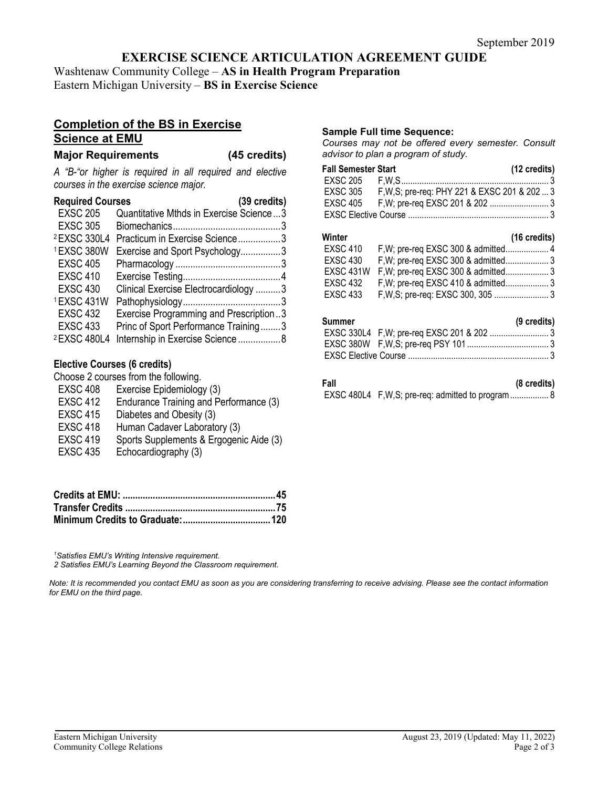## **EXERCISE SCIENCE ARTICULATION AGREEMENT GUIDE**

Washtenaw Community College – **AS in Health Program Preparation** Eastern Michigan University – **BS in Exercise Science**

## **Completion of the BS in Exercise Science at EMU**

### **Major Requirements (45 credits)**

*A "B-"or higher is required in all required and elective courses in the exercise science major.*

| <b>Required Courses</b> | (39 credits)                            |
|-------------------------|-----------------------------------------|
| <b>EXSC 205</b>         | Quantitative Mthds in Exercise Science3 |
| <b>EXSC 305</b>         |                                         |
| <sup>2</sup> EXSC 330L4 | Practicum in Exercise Science3          |
| 1EXSC 380W              | Exercise and Sport Psychology3          |
| <b>EXSC 405</b>         |                                         |
| <b>EXSC 410</b>         |                                         |
| <b>EXSC 430</b>         | Clinical Exercise Electrocardiology 3   |
| 1EXSC 431W              |                                         |
| <b>EXSC 432</b>         | Exercise Programming and Prescription3  |
| <b>EXSC 433</b>         | Princ of Sport Performance Training3    |
| <sup>2</sup> EXSC 480L4 | Internship in Exercise Science 8        |

## **Elective Courses (6 credits)**

Choose 2 courses from the following.

- EXSC 408 Exercise Epidemiology (3)
- EXSC 412 Endurance Training and Performance (3)
- EXSC 415 Diabetes and Obesity (3)
- EXSC 418 Human Cadaver Laboratory (3)
- EXSC 419 Sports Supplements & Ergogenic Aide (3)
- EXSC 435 Echocardiography (3)

*1 Satisfies EMU's Writing Intensive requirement.* 

*2 Satisfies EMU's Learning Beyond the Classroom requirement.*

*Note: It is recommended you contact EMU as soon as you are considering transferring to receive advising. Please see the contact information for EMU on the third page.*

## **Sample Full time Sequence:**

*Courses may not be offered every semester. Consult advisor to plan a program of study.*

| Fall Semester Start |                                               | $(12 \text{ credits})$ |
|---------------------|-----------------------------------------------|------------------------|
|                     |                                               |                        |
| EXSC 305            | F, W, S; pre-req: PHY 221 & EXSC 201 & 202  3 |                        |
|                     |                                               |                        |
|                     |                                               |                        |

#### **Winter (16 credits)** EXSC 410 F,W; pre-req EXSC 300 & admitted................... 4 EXSC 430 F,W; pre-req EXSC 300 & admitted................... 3 EXSC 431W F,W; pre-req EXSC 300 & admitted................... 3 EXSC 432 F,W; pre-req EXSC 410 & admitted................... 3 F,W,S; pre-req: EXSC 300, 305 ........................... 3

#### **Summer (9 credits)**

| <b></b> | $\sim$ $\sim$ $\sim$ $\sim$ $\sim$ $\sim$ |  |
|---------|-------------------------------------------|--|
|         |                                           |  |
|         |                                           |  |
|         |                                           |  |

**Fall (8 credits)** EXSC 480L4 F,W,S; pre-req: admitted to program................. 8